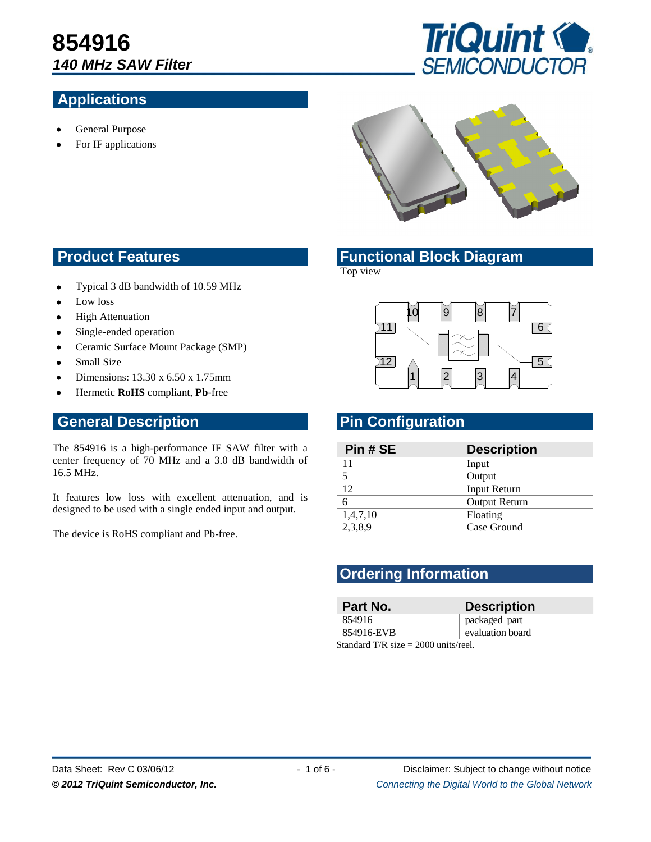#### **Applications**



For IF applications





#### **Product Features <b>Functional Block Diagram**

Top view

- Typical 3 dB bandwidth of 10.59 MHz  $\bullet$
- Low loss
- High Attenuation
- Single-ended operation
- Ceramic Surface Mount Package (SMP)  $\bullet$
- Small Size
- Dimensions: 13.30 x 6.50 x 1.75mm
- Hermetic **RoHS** compliant, **Pb**-free

#### **General Description Pin Configuration**

The 854916 is a high-performance IF SAW filter with a center frequency of 70 MHz and a 3.0 dB bandwidth of 16.5 MHz.

It features low loss with excellent attenuation, and is designed to be used with a single ended input and output.

The device is RoHS compliant and Pb-free.



| Pin # SE       | <b>Description</b>   |
|----------------|----------------------|
|                | Input                |
| $\overline{5}$ | Output               |
| 12             | Input Return         |
| 6              | <b>Output Return</b> |
| 1,4,7,10       | Floating             |
| 2,3,8,9        | Case Ground          |

#### **Ordering Information**

| Part No.                               | <b>Description</b> |  |
|----------------------------------------|--------------------|--|
| 854916                                 | packaged part      |  |
| 854916-EVB                             | evaluation board   |  |
| Standard T/R size $= 2000$ units/reel. |                    |  |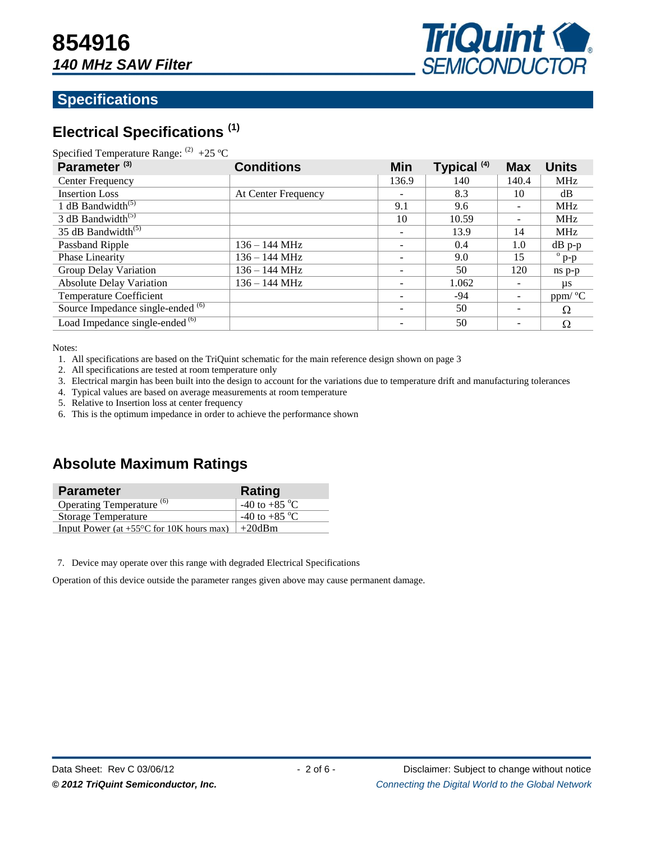

#### **Specifications**

### **Electrical Specifications (1)**

| Specified Temperature Range: $^{(2)}$ +25 °C |  |  |
|----------------------------------------------|--|--|
|----------------------------------------------|--|--|

| Parameter <sup>(3)</sup>                     | <b>Conditions</b>   | <b>Min</b>               | Typical <sup>(4)</sup> | <b>Max</b>               | <b>Units</b>     |
|----------------------------------------------|---------------------|--------------------------|------------------------|--------------------------|------------------|
| Center Frequency                             |                     | 136.9                    | 140                    | 140.4                    | <b>MHz</b>       |
| <b>Insertion Loss</b>                        | At Center Frequency | -                        | 8.3                    | 10                       | dB               |
| 1 dB Bandwidth <sup>(5)</sup>                |                     | 9.1                      | 9.6                    | $\overline{\phantom{0}}$ | <b>MHz</b>       |
| 3 dB Bandwidth <sup><math>(5)</math></sup>   |                     | 10                       | 10.59                  | $\overline{\phantom{0}}$ | <b>MHz</b>       |
| 35 dB Bandwidth $^{(5)}$                     |                     |                          | 13.9                   | 14                       | <b>MHz</b>       |
| Passband Ripple                              | $136 - 144$ MHz     | $\overline{\phantom{0}}$ | 0.4                    | 1.0                      | $dB$ p-p         |
| Phase Linearity                              | 136 – 144 MHz       |                          | 9.0                    | 15                       | $\overline{p-p}$ |
| Group Delay Variation                        | 136 – 144 MHz       |                          | 50                     | 120                      | ns p-p           |
| <b>Absolute Delay Variation</b>              | $136 - 144$ MHz     |                          | 1.062                  |                          | us               |
| <b>Temperature Coefficient</b>               |                     |                          | -94                    | $\overline{\phantom{a}}$ | ppm/ °C          |
| Source Impedance single-ended <sup>(6)</sup> |                     |                          | 50                     | $\overline{\phantom{a}}$ | Ω                |
| Load Impedance single-ended <sup>(6)</sup>   |                     |                          | 50                     | $\overline{\phantom{a}}$ | Ω                |

Notes:

- 1. All specifications are based on the TriQuint schematic for the main reference design shown on page 3
- 2. All specifications are tested at room temperature only
- 3. Electrical margin has been built into the design to account for the variations due to temperature drift and manufacturing tolerances
- 4. Typical values are based on average measurements at room temperature
- 5. Relative to Insertion loss at center frequency
- 6. This is the optimum impedance in order to achieve the performance shown

#### **Absolute Maximum Ratings**

| <b>Parameter</b>                                            | Rating                  |
|-------------------------------------------------------------|-------------------------|
| Operating Temperature <sup>(6)</sup>                        | -40 to +85 $^{\circ}$ C |
| Storage Temperature                                         | -40 to +85 $^{\circ}$ C |
| Input Power (at +55 $\degree$ C for 10K hours max)   +20dBm |                         |

7. Device may operate over this range with degraded Electrical Specifications

Operation of this device outside the parameter ranges given above may cause permanent damage.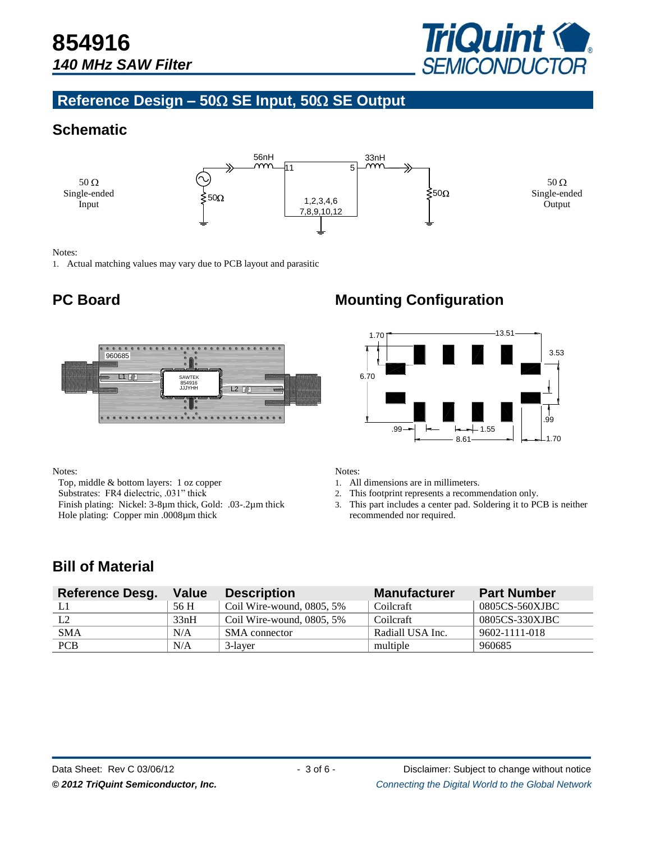

#### **Reference Design – 50 SE Input, 50 SE Output**

#### **Schematic**



Notes:

1. Actual matching values may vary due to PCB layout and parasitic



Notes:

Top, middle & bottom layers: 1 oz copper Substrates: FR4 dielectric, .031" thick Finish plating: Nickel: 3-8µm thick, Gold: .03-.2µm thick Hole plating: Copper min .0008µm thick

### **PC Board Mounting Configuration**



Notes:

- 1. All dimensions are in millimeters.
- 2. This footprint represents a recommendation only.
- 3. This part includes a center pad. Soldering it to PCB is neither recommended nor required.

### **Bill of Material**

| <b>Reference Desg.</b> | <b>Value</b> | <b>Description</b>           | <b>Manufacturer</b> | <b>Part Number</b> |
|------------------------|--------------|------------------------------|---------------------|--------------------|
|                        | 56 H         | Coil Wire-wound, $0805, 5\%$ | Coilcraft           | 0805CS-560XJBC     |
| L2                     | 33nH         | Coil Wire-wound, $0805, 5\%$ | Coilcraft           | 0805CS-330XJBC     |
| <b>SMA</b>             | N/A          | SMA connector                | Radiall USA Inc.    | 9602-1111-018      |
| <b>PCB</b>             | N/A          | 3-laver                      | multiple            | 960685             |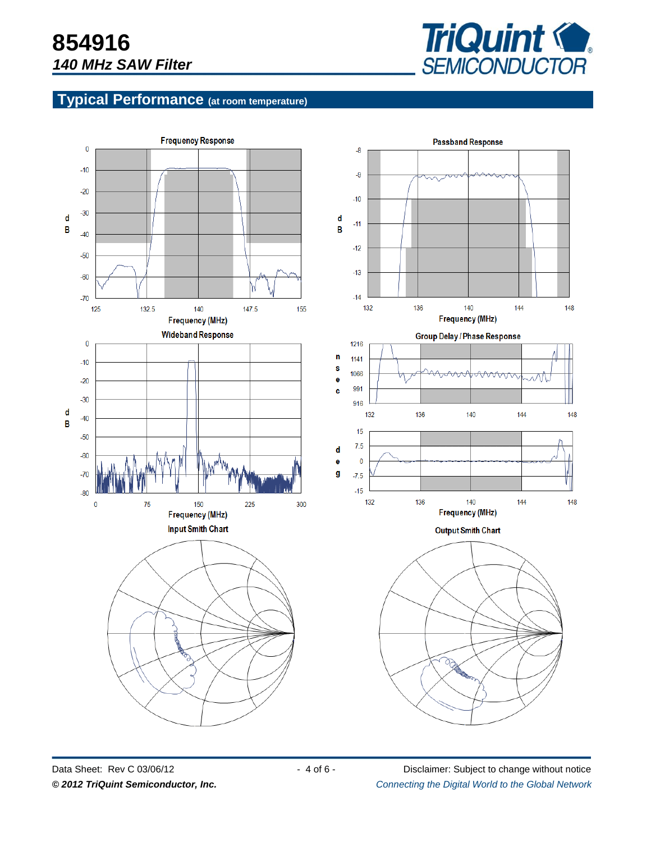

#### **Typical Performance (at room temperature)**



Data Sheet: Rev C 03/06/12 - 4 of 6 - Disclaimer: Subject to change without notice *© 2012 TriQuint Semiconductor, Inc. Connecting the Digital World to the Global Network ®*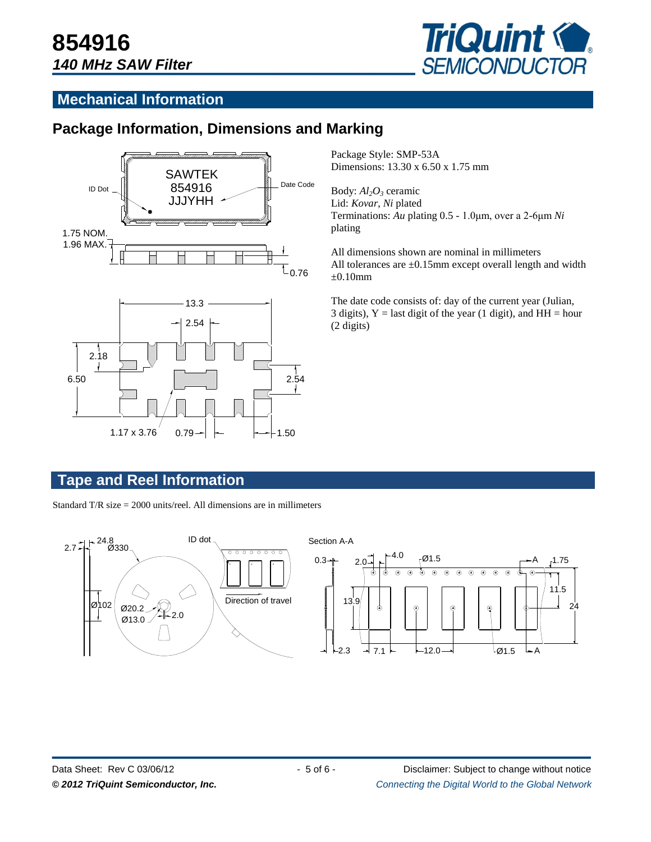

#### **Mechanical Information**

#### **Package Information, Dimensions and Marking**



Package Style: SMP-53A Dimensions: 13.30 x 6.50 x 1.75 mm

Body: *Al2O<sup>3</sup>* ceramic Lid: *Kovar*, *Ni* plated Terminations: *Au* plating 0.5 - 1.0μm, over a 2-6μm *Ni* plating

All dimensions shown are nominal in millimeters All tolerances are  $\pm 0.15$ mm except overall length and width  $\pm 0.10$ mm

The date code consists of: day of the current year (Julian, 3 digits),  $Y =$  last digit of the year (1 digit), and  $HH =$  hour (2 digits)

#### **Tape and Reel Information**

Standard T/R size = 2000 units/reel. All dimensions are in millimeters

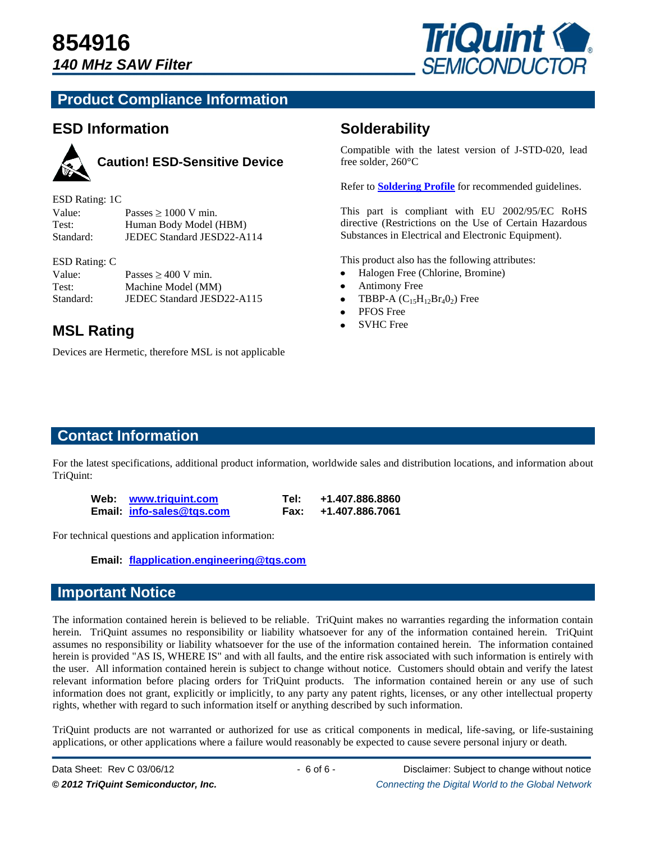

#### **Product Compliance Information**

#### **ESD Information**



## **Caution! ESD-Sensitive Device**

| ESD Rating: 1C |                            |
|----------------|----------------------------|
| Value:         | Passes $\geq 1000$ V min.  |
| Test:          | Human Body Model (HBM)     |
| Standard:      | JEDEC Standard JESD22-A114 |

#### ESD Rating: C

| Value:    | Passes $\geq 400$ V min.   |
|-----------|----------------------------|
| Test:     | Machine Model (MM)         |
| Standard: | JEDEC Standard JESD22-A115 |

## **MSL Rating • SVHC Free**

Devices are Hermetic, therefore MSL is not applicable

#### **Solderability**

Compatible with the latest version of J-STD-020, lead free solder, 260°C

Refer to **[Soldering Profile](http://www.triquint.com/prodserv/tech_info/soldering.cfm)** for recommended guidelines.

This part is compliant with EU 2002/95/EC RoHS directive (Restrictions on the Use of Certain Hazardous Substances in Electrical and Electronic Equipment).

This product also has the following attributes:

- Halogen Free (Chlorine, Bromine)
- Antimony Free
- TBBP-A  $(C_{15}H_{12}Br_4O_2)$  Free  $\bullet$
- PFOS Free
- 

#### **Contact Information**

For the latest specifications, additional product information, worldwide sales and distribution locations, and information about TriQuint:

| Web: www.triguint.com     | Tel: | +1.407.886.8860      |
|---------------------------|------|----------------------|
| Email: info-sales@tgs.com |      | Fax: +1.407.886.7061 |

For technical questions and application information:

**Email: [flapplication.engineering@tqs.com](mailto:flapplication.engineering@tqs.com)**

#### **Important Notice**

The information contained herein is believed to be reliable. TriQuint makes no warranties regarding the information contain herein. TriQuint assumes no responsibility or liability whatsoever for any of the information contained herein. TriQuint assumes no responsibility or liability whatsoever for the use of the information contained herein. The information contained herein is provided "AS IS, WHERE IS" and with all faults, and the entire risk associated with such information is entirely with the user. All information contained herein is subject to change without notice. Customers should obtain and verify the latest relevant information before placing orders for TriQuint products. The information contained herein or any use of such information does not grant, explicitly or implicitly, to any party any patent rights, licenses, or any other intellectual property rights, whether with regard to such information itself or anything described by such information.

TriQuint products are not warranted or authorized for use as critical components in medical, life-saving, or life-sustaining applications, or other applications where a failure would reasonably be expected to cause severe personal injury or death.